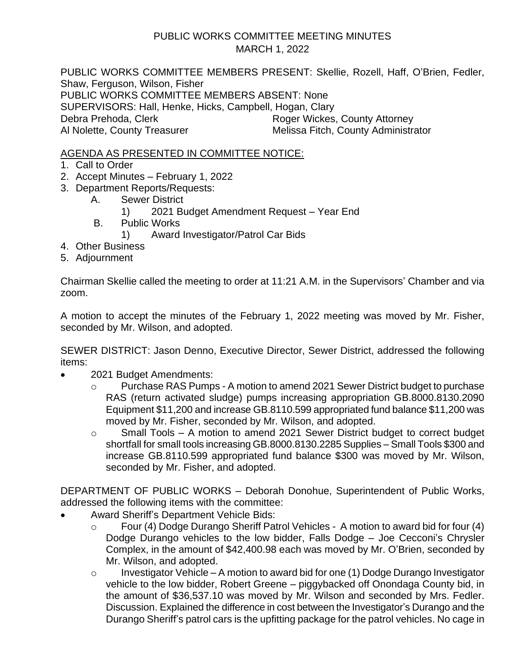## PUBLIC WORKS COMMITTEE MEETING MINUTES MARCH 1, 2022

PUBLIC WORKS COMMITTEE MEMBERS PRESENT: Skellie, Rozell, Haff, O'Brien, Fedler, Shaw, Ferguson, Wilson, Fisher PUBLIC WORKS COMMITTEE MEMBERS ABSENT: None SUPERVISORS: Hall, Henke, Hicks, Campbell, Hogan, Clary Debra Prehoda, Clerk Roger Wickes, County Attorney Al Nolette, County Treasurer Melissa Fitch, County Administrator

AGENDA AS PRESENTED IN COMMITTEE NOTICE:

- 1. Call to Order
- 2. Accept Minutes February 1, 2022
- 3. Department Reports/Requests:
	- A. Sewer District
		- 1) 2021 Budget Amendment Request Year End
	- B. Public Works
		- 1) Award Investigator/Patrol Car Bids
- 4. Other Business
- 5. Adjournment

Chairman Skellie called the meeting to order at 11:21 A.M. in the Supervisors' Chamber and via zoom.

A motion to accept the minutes of the February 1, 2022 meeting was moved by Mr. Fisher, seconded by Mr. Wilson, and adopted.

SEWER DISTRICT: Jason Denno, Executive Director, Sewer District, addressed the following items:

- 2021 Budget Amendments:
	- o Purchase RAS Pumps A motion to amend 2021 Sewer District budget to purchase RAS (return activated sludge) pumps increasing appropriation GB.8000.8130.2090 Equipment \$11,200 and increase GB.8110.599 appropriated fund balance \$11,200 was moved by Mr. Fisher, seconded by Mr. Wilson, and adopted.
	- o Small Tools A motion to amend 2021 Sewer District budget to correct budget shortfall for small tools increasing GB.8000.8130.2285 Supplies – Small Tools \$300 and increase GB.8110.599 appropriated fund balance \$300 was moved by Mr. Wilson, seconded by Mr. Fisher, and adopted.

DEPARTMENT OF PUBLIC WORKS – Deborah Donohue, Superintendent of Public Works, addressed the following items with the committee:

- Award Sheriff's Department Vehicle Bids:
	- o Four (4) Dodge Durango Sheriff Patrol Vehicles A motion to award bid for four (4) Dodge Durango vehicles to the low bidder, Falls Dodge – Joe Cecconi's Chrysler Complex, in the amount of \$42,400.98 each was moved by Mr. O'Brien, seconded by Mr. Wilson, and adopted.
	- o Investigator Vehicle A motion to award bid for one (1) Dodge Durango Investigator vehicle to the low bidder, Robert Greene – piggybacked off Onondaga County bid, in the amount of \$36,537.10 was moved by Mr. Wilson and seconded by Mrs. Fedler. Discussion. Explained the difference in cost between the Investigator's Durango and the Durango Sheriff's patrol cars is the upfitting package for the patrol vehicles. No cage in